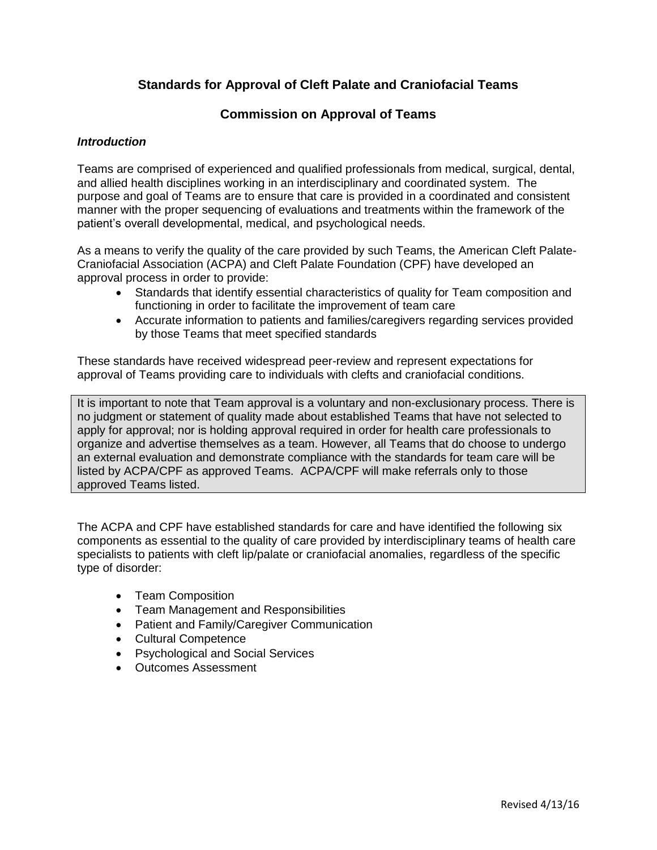# **Standards for Approval of Cleft Palate and Craniofacial Teams**

## **Commission on Approval of Teams**

#### *Introduction*

Teams are comprised of experienced and qualified professionals from medical, surgical, dental, and allied health disciplines working in an interdisciplinary and coordinated system. The purpose and goal of Teams are to ensure that care is provided in a coordinated and consistent manner with the proper sequencing of evaluations and treatments within the framework of the patient's overall developmental, medical, and psychological needs.

As a means to verify the quality of the care provided by such Teams, the American Cleft Palate-Craniofacial Association (ACPA) and Cleft Palate Foundation (CPF) have developed an approval process in order to provide:

- Standards that identify essential characteristics of quality for Team composition and functioning in order to facilitate the improvement of team care
- Accurate information to patients and families/caregivers regarding services provided by those Teams that meet specified standards

These standards have received widespread peer-review and represent expectations for approval of Teams providing care to individuals with clefts and craniofacial conditions.

It is important to note that Team approval is a voluntary and non-exclusionary process. There is no judgment or statement of quality made about established Teams that have not selected to apply for approval; nor is holding approval required in order for health care professionals to organize and advertise themselves as a team. However, all Teams that do choose to undergo an external evaluation and demonstrate compliance with the standards for team care will be listed by ACPA/CPF as approved Teams. ACPA/CPF will make referrals only to those approved Teams listed.

The ACPA and CPF have established standards for care and have identified the following six components as essential to the quality of care provided by interdisciplinary teams of health care specialists to patients with cleft lip/palate or craniofacial anomalies, regardless of the specific type of disorder:

- Team Composition
- Team Management and Responsibilities
- Patient and Family/Caregiver Communication
- Cultural Competence
- Psychological and Social Services
- Outcomes Assessment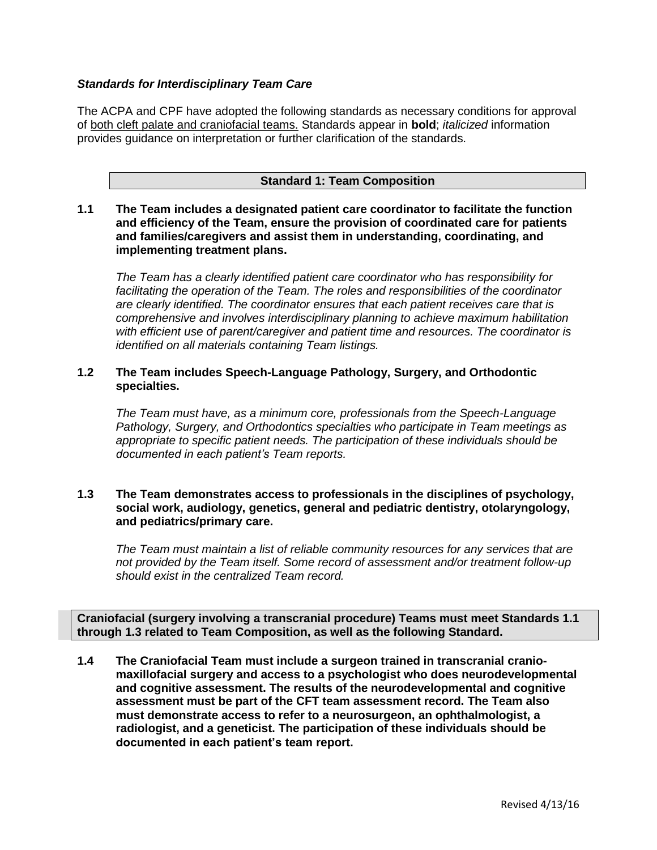## *Standards for Interdisciplinary Team Care*

The ACPA and CPF have adopted the following standards as necessary conditions for approval of both cleft palate and craniofacial teams. Standards appear in **bold**; *italicized* information provides guidance on interpretation or further clarification of the standards.

#### **Standard 1: Team Composition**

**1.1 The Team includes a designated patient care coordinator to facilitate the function and efficiency of the Team, ensure the provision of coordinated care for patients and families/caregivers and assist them in understanding, coordinating, and implementing treatment plans.**

*The Team has a clearly identified patient care coordinator who has responsibility for facilitating the operation of the Team. The roles and responsibilities of the coordinator are clearly identified. The coordinator ensures that each patient receives care that is comprehensive and involves interdisciplinary planning to achieve maximum habilitation with efficient use of parent/caregiver and patient time and resources. The coordinator is identified on all materials containing Team listings.*

## **1.2 The Team includes Speech-Language Pathology, Surgery, and Orthodontic specialties.**

*The Team must have, as a minimum core, professionals from the Speech-Language Pathology, Surgery, and Orthodontics specialties who participate in Team meetings as appropriate to specific patient needs. The participation of these individuals should be documented in each patient's Team reports.* 

#### **1.3 The Team demonstrates access to professionals in the disciplines of psychology, social work, audiology, genetics, general and pediatric dentistry, otolaryngology, and pediatrics/primary care.**

*The Team must maintain a list of reliable community resources for any services that are not provided by the Team itself. Some record of assessment and/or treatment follow-up should exist in the centralized Team record.* 

**Craniofacial (surgery involving a transcranial procedure) Teams must meet Standards 1.1 through 1.3 related to Team Composition, as well as the following Standard.**

**1.4 The Craniofacial Team must include a surgeon trained in transcranial craniomaxillofacial surgery and access to a psychologist who does neurodevelopmental and cognitive assessment. The results of the neurodevelopmental and cognitive assessment must be part of the CFT team assessment record. The Team also must demonstrate access to refer to a neurosurgeon, an ophthalmologist, a radiologist, and a geneticist. The participation of these individuals should be documented in each patient's team report.**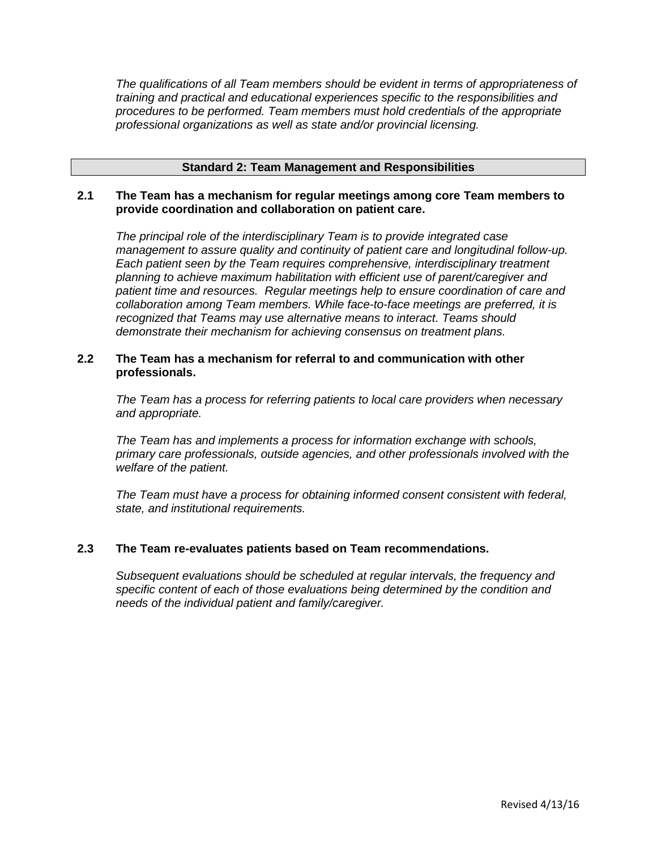*The qualifications of all Team members should be evident in terms of appropriateness of training and practical and educational experiences specific to the responsibilities and procedures to be performed. Team members must hold credentials of the appropriate professional organizations as well as state and/or provincial licensing.* 

#### **Standard 2: Team Management and Responsibilities**

#### **2.1 The Team has a mechanism for regular meetings among core Team members to provide coordination and collaboration on patient care.**

*The principal role of the interdisciplinary Team is to provide integrated case management to assure quality and continuity of patient care and longitudinal follow-up. Each patient seen by the Team requires comprehensive, interdisciplinary treatment planning to achieve maximum habilitation with efficient use of parent/caregiver and patient time and resources. Regular meetings help to ensure coordination of care and collaboration among Team members. While face-to-face meetings are preferred, it is recognized that Teams may use alternative means to interact. Teams should demonstrate their mechanism for achieving consensus on treatment plans.*

#### **2.2 The Team has a mechanism for referral to and communication with other professionals.**

*The Team has a process for referring patients to local care providers when necessary and appropriate.*

*The Team has and implements a process for information exchange with schools, primary care professionals, outside agencies, and other professionals involved with the welfare of the patient.* 

*The Team must have a process for obtaining informed consent consistent with federal, state, and institutional requirements.*

## **2.3 The Team re-evaluates patients based on Team recommendations.**

*Subsequent evaluations should be scheduled at regular intervals, the frequency and specific content of each of those evaluations being determined by the condition and needs of the individual patient and family/caregiver.*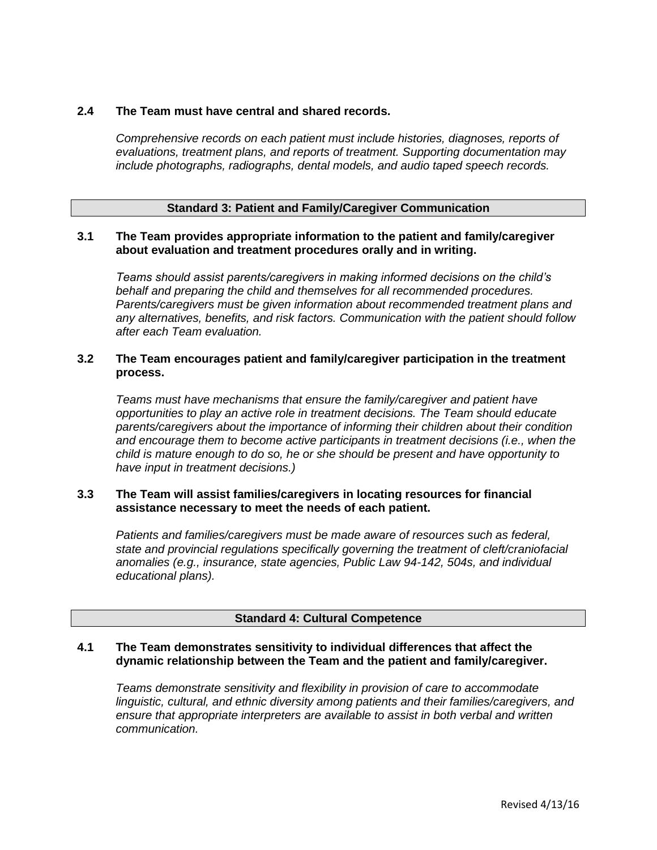## **2.4 The Team must have central and shared records.**

*Comprehensive records on each patient must include histories, diagnoses, reports of evaluations, treatment plans, and reports of treatment. Supporting documentation may include photographs, radiographs, dental models, and audio taped speech records.*

## **Standard 3: Patient and Family/Caregiver Communication**

#### **3.1 The Team provides appropriate information to the patient and family/caregiver about evaluation and treatment procedures orally and in writing.**

*Teams should assist parents/caregivers in making informed decisions on the child's behalf and preparing the child and themselves for all recommended procedures. Parents/caregivers must be given information about recommended treatment plans and any alternatives, benefits, and risk factors. Communication with the patient should follow after each Team evaluation.*

## **3.2 The Team encourages patient and family/caregiver participation in the treatment process.**

*Teams must have mechanisms that ensure the family/caregiver and patient have opportunities to play an active role in treatment decisions. The Team should educate parents/caregivers about the importance of informing their children about their condition and encourage them to become active participants in treatment decisions (i.e., when the child is mature enough to do so, he or she should be present and have opportunity to have input in treatment decisions.)*

## **3.3 The Team will assist families/caregivers in locating resources for financial assistance necessary to meet the needs of each patient.**

*Patients and families/caregivers must be made aware of resources such as federal, state and provincial regulations specifically governing the treatment of cleft/craniofacial anomalies (e.g., insurance, state agencies, Public Law 94-142, 504s, and individual educational plans).*

#### **Standard 4: Cultural Competence**

## **4.1 The Team demonstrates sensitivity to individual differences that affect the dynamic relationship between the Team and the patient and family/caregiver.**

*Teams demonstrate sensitivity and flexibility in provision of care to accommodate linguistic, cultural, and ethnic diversity among patients and their families/caregivers, and ensure that appropriate interpreters are available to assist in both verbal and written communication.*